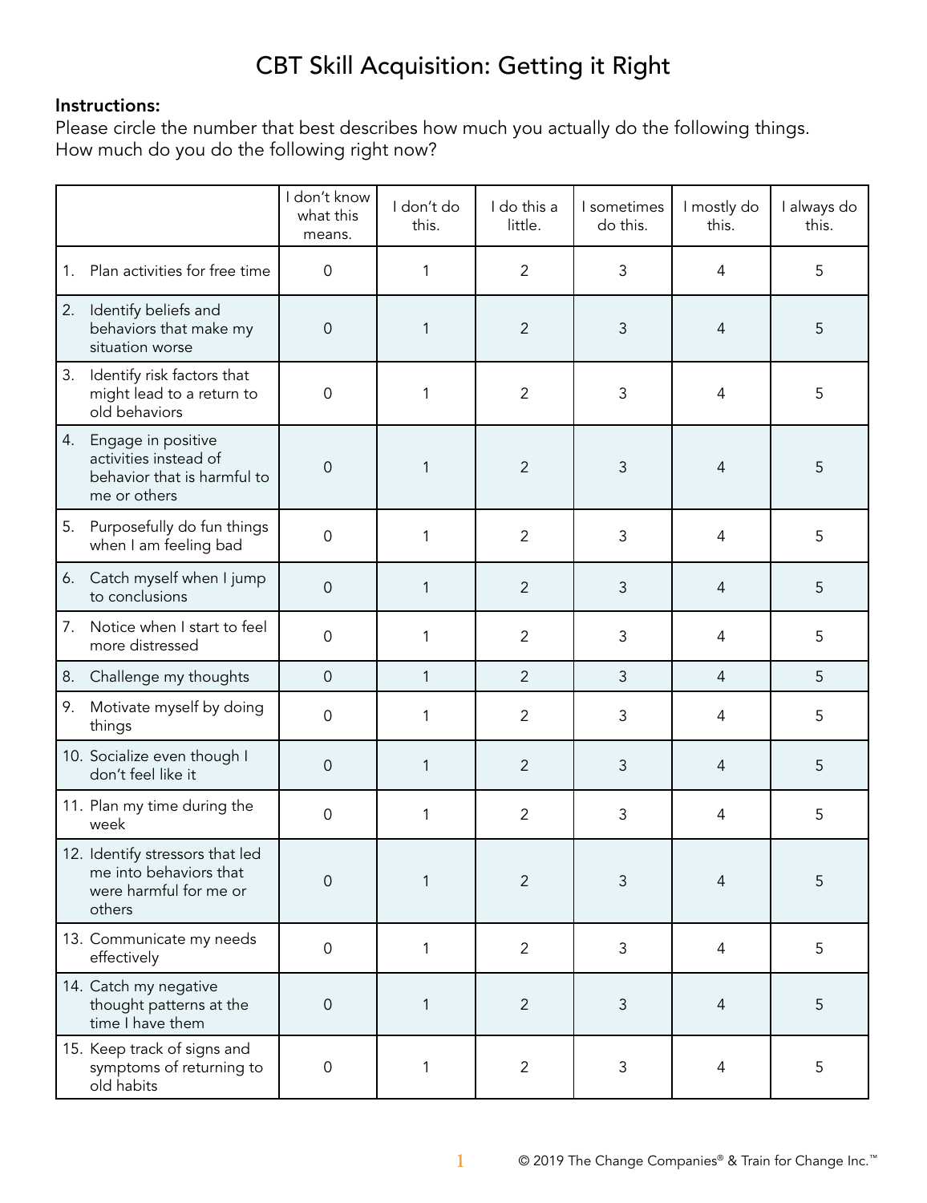# CBT Skill Acquisition: Getting it Right

### Instructions:

Please circle the number that best describes how much you actually do the following things. How much do you do the following right now?

|    |                                                                                               | I don't know<br>what this<br>means. | I don't do<br>this. | I do this a<br>little. | I sometimes<br>do this. | I mostly do<br>this. | I always do<br>this. |
|----|-----------------------------------------------------------------------------------------------|-------------------------------------|---------------------|------------------------|-------------------------|----------------------|----------------------|
| 1. | Plan activities for free time                                                                 | $\mathsf{O}\xspace$                 | 1                   | $\overline{2}$         | 3                       | 4                    | 5                    |
| 2. | Identify beliefs and<br>behaviors that make my<br>situation worse                             | 0                                   | 1                   | $\overline{2}$         | 3                       | $\overline{4}$       | 5                    |
| 3. | Identify risk factors that<br>might lead to a return to<br>old behaviors                      | 0                                   | 1                   | $\overline{2}$         | $\mathfrak{Z}$          | $\overline{4}$       | 5                    |
| 4. | Engage in positive<br>activities instead of<br>behavior that is harmful to<br>me or others    | $\mathsf{O}\xspace$                 | 1                   | $\overline{2}$         | $\mathfrak{Z}$          | $\overline{4}$       | 5                    |
| 5. | Purposefully do fun things<br>when I am feeling bad                                           | 0                                   | 1                   | $\overline{2}$         | 3                       | $\overline{4}$       | 5                    |
| 6. | Catch myself when I jump<br>to conclusions                                                    | $\mathsf{O}\xspace$                 | 1                   | $\overline{2}$         | $\mathfrak{Z}$          | $\overline{4}$       | 5                    |
| 7. | Notice when I start to feel<br>more distressed                                                | $\mathbf 0$                         | 1                   | $\overline{2}$         | 3                       | 4                    | 5                    |
| 8. | Challenge my thoughts                                                                         | $\mathbf 0$                         | $\mathbf{1}$        | $\overline{2}$         | 3                       | $\overline{4}$       | 5                    |
| 9. | Motivate myself by doing<br>things                                                            | $\mathsf{O}\xspace$                 | 1                   | $\overline{2}$         | $\mathfrak{Z}$          | $\overline{4}$       | 5                    |
|    | 10. Socialize even though I<br>don't feel like it                                             | $\mathbf 0$                         | 1                   | $\overline{2}$         | $\mathfrak{Z}$          | $\overline{4}$       | 5                    |
|    | 11. Plan my time during the<br>week                                                           | $\mathsf{O}\xspace$                 | 1                   | $\overline{2}$         | 3                       | 4                    | 5                    |
|    | 12. Identify stressors that led<br>me into behaviors that<br>were harmful for me or<br>others | 0                                   | 1                   | 2                      | 3                       | $\overline{4}$       | 5                    |
|    | 13. Communicate my needs<br>effectively                                                       | $\mathsf{O}\xspace$                 | $\mathbf{1}$        | $\overline{2}$         | 3                       | $\overline{4}$       | 5                    |
|    | 14. Catch my negative<br>thought patterns at the<br>time I have them                          | $\mathsf{O}\xspace$                 | 1                   | $\overline{2}$         | $\mathfrak{Z}$          | $\overline{4}$       | 5                    |
|    | 15. Keep track of signs and<br>symptoms of returning to<br>old habits                         | 0                                   | 1                   | $\overline{2}$         | $\mathsf 3$             | $\overline{4}$       | 5                    |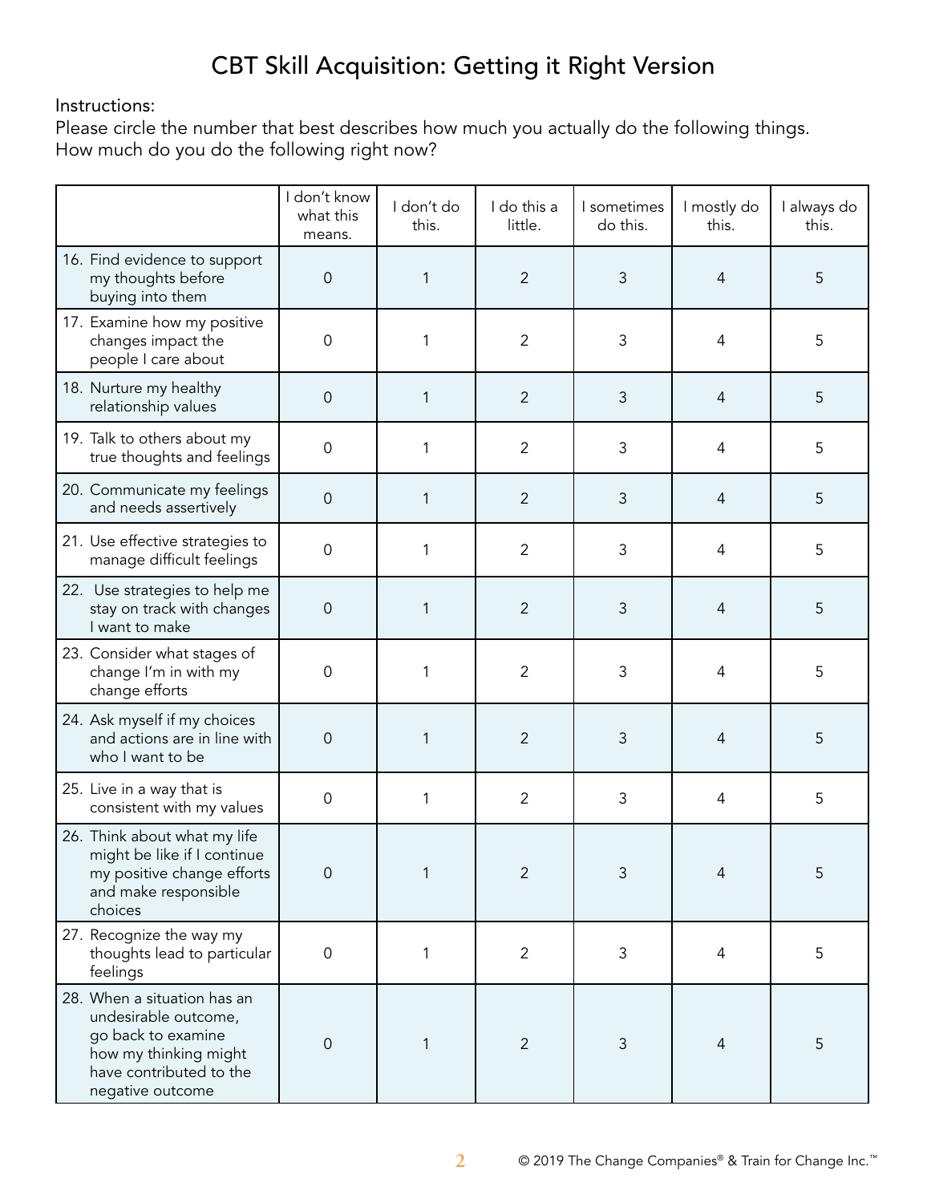## CBT Skill Acquisition: Getting it Right Version

#### Instructions:

Please circle the number that best describes how much you actually do the following things. How much do you do the following right now?

|                                                                                                                                                   | I don't know<br>what this<br>means. | I don't do<br>this. | I do this a<br>little. | I sometimes<br>do this. | I mostly do<br>this. | I always do<br>this. |
|---------------------------------------------------------------------------------------------------------------------------------------------------|-------------------------------------|---------------------|------------------------|-------------------------|----------------------|----------------------|
| 16. Find evidence to support<br>my thoughts before<br>buying into them                                                                            | $\mathsf{O}\xspace$                 | 1                   | $\overline{2}$         | 3                       | $\overline{4}$       | 5                    |
| 17. Examine how my positive<br>changes impact the<br>people I care about                                                                          | $\mathbf 0$                         | 1                   | $\overline{2}$         | 3                       | 4                    | 5                    |
| 18. Nurture my healthy<br>relationship values                                                                                                     | $\mathbf 0$                         | 1                   | $\overline{2}$         | 3                       | 4                    | 5                    |
| 19. Talk to others about my<br>true thoughts and feelings                                                                                         | 0                                   | 1                   | $\overline{2}$         | 3                       | 4                    | 5                    |
| 20. Communicate my feelings<br>and needs assertively                                                                                              | $\mathsf{O}\xspace$                 | 1                   | $\overline{2}$         | 3                       | 4                    | 5                    |
| 21. Use effective strategies to<br>manage difficult feelings                                                                                      | 0                                   | 1                   | $\overline{2}$         | 3                       | 4                    | 5                    |
| 22. Use strategies to help me<br>stay on track with changes<br>I want to make                                                                     | 0                                   | 1                   | $\overline{2}$         | 3                       | 4                    | 5                    |
| 23. Consider what stages of<br>change I'm in with my<br>change efforts                                                                            | 0                                   | 1                   | $\overline{2}$         | 3                       | 4                    | 5                    |
| 24. Ask myself if my choices<br>and actions are in line with<br>who I want to be                                                                  | $\mathbf 0$                         | 1                   | $\overline{2}$         | 3                       | 4                    | 5                    |
| 25. Live in a way that is<br>consistent with my values                                                                                            | 0                                   | 1                   | $\overline{2}$         | 3                       | 4                    | 5                    |
| 26. Think about what my life<br>might be like if I continue<br>my positive change efforts<br>and make responsible<br>choices                      | $\overline{0}$                      | 1                   | 2                      | 3                       | $\Delta$             | 5                    |
| 27. Recognize the way my<br>thoughts lead to particular<br>feelings                                                                               | $\mathsf{O}\xspace$                 | 1                   | $\overline{2}$         | 3                       | 4                    | 5                    |
| 28. When a situation has an<br>undesirable outcome,<br>go back to examine<br>how my thinking might<br>have contributed to the<br>negative outcome | $\mathbf 0$                         | 1                   | $\overline{2}$         | 3                       | $\overline{4}$       | 5                    |